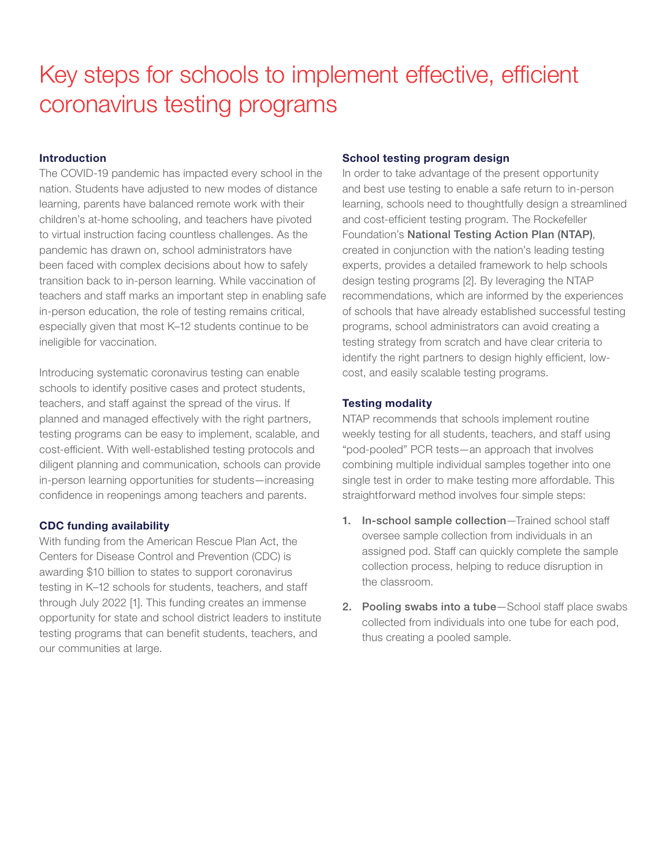# Key steps for schools to implement effective, efficient coronavirus testing programs

# Introduction

The COVID-19 pandemic has impacted every school in the nation. Students have adjusted to new modes of distance learning, parents have balanced remote work with their children's at-home schooling, and teachers have pivoted to virtual instruction facing countless challenges. As the pandemic has drawn on, school administrators have been faced with complex decisions about how to safely transition back to in-person learning. While vaccination of teachers and staff marks an important step in enabling safe in-person education, the role of testing remains critical, especially given that most K–12 students continue to be ineligible for vaccination.

Introducing systematic coronavirus testing can enable schools to identify positive cases and protect students, teachers, and staff against the spread of the virus. If planned and managed effectively with the right partners, testing programs can be easy to implement, scalable, and cost-efficient. With well-established testing protocols and diligent planning and communication, schools can provide in-person learning opportunities for students—increasing confidence in reopenings among teachers and parents.

# CDC funding availability

With funding from the American Rescue Plan Act, the Centers for Disease Control and Prevention (CDC) is awarding \$10 billion to states to support coronavirus testing in K–12 schools for students, teachers, and staff through July 2022 [1]. This funding creates an immense opportunity for state and school district leaders to institute testing programs that can benefit students, teachers, and our communities at large.

## School testing program design

In order to take advantage of the present opportunity and best use testing to enable a safe return to in-person learning, schools need to thoughtfully design a streamlined and cost-efficient testing program. The Rockefeller Foundation's [National Testing Action Plan \(NTAP\)](https://www.rockefellerfoundation.org/wp-content/uploads/2021/03/K-12-NTAP_FINAL.pdf), created in conjunction with the nation's leading testing experts, provides a detailed framework to help schools design testing programs [2]. By leveraging the NTAP recommendations, which are informed by the experiences of schools that have already established successful testing programs, school administrators can avoid creating a testing strategy from scratch and have clear criteria to identify the right partners to design highly efficient, lowcost, and easily scalable testing programs.

# Testing modality

NTAP recommends that schools implement routine weekly testing for all students, teachers, and staff using "pod-pooled" PCR tests—an approach that involves combining multiple individual samples together into one single test in order to make testing more affordable. This straightforward method involves four simple steps:

- 1. In-school sample collection-Trained school staff oversee sample collection from individuals in an assigned pod. Staff can quickly complete the sample collection process, helping to reduce disruption in the classroom.
- 2. Pooling swabs into a tube-School staff place swabs collected from individuals into one tube for each pod, thus creating a pooled sample.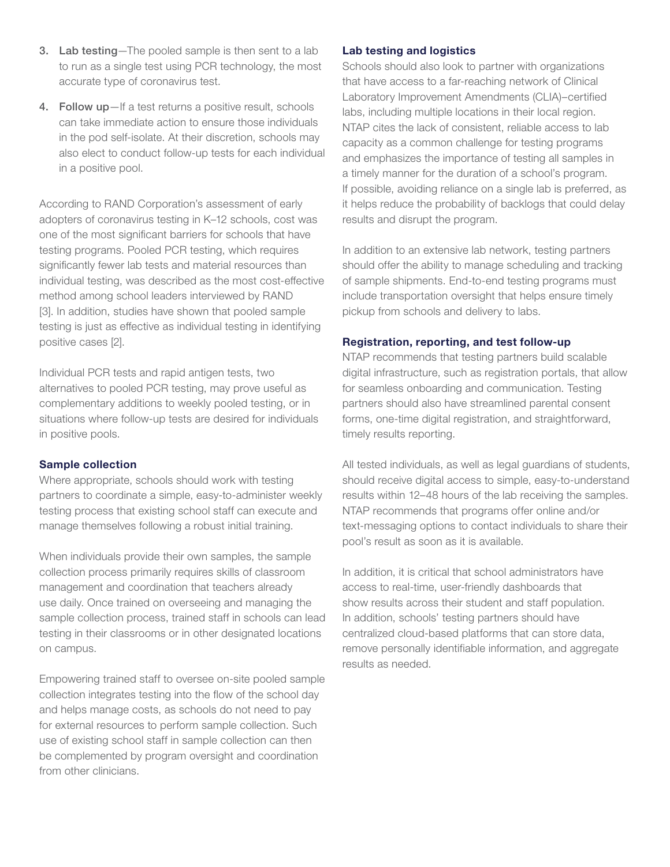- 3. Lab testing—The pooled sample is then sent to a lab to run as a single test using PCR technology, the most accurate type of coronavirus test.
- 4. Follow up-If a test returns a positive result, schools can take immediate action to ensure those individuals in the pod self-isolate. At their discretion, schools may also elect to conduct follow-up tests for each individual in a positive pool.

According to RAND Corporation's assessment of early adopters of coronavirus testing in K–12 schools, cost was one of the most significant barriers for schools that have testing programs. Pooled PCR testing, which requires significantly fewer lab tests and material resources than individual testing, was described as the most cost-effective method among school leaders interviewed by RAND [3]. In addition, studies have shown that pooled sample testing is just as effective as individual testing in identifying positive cases [2].

Individual PCR tests and rapid antigen tests, two alternatives to pooled PCR testing, may prove useful as complementary additions to weekly pooled testing, or in situations where follow-up tests are desired for individuals in positive pools.

#### Sample collection

Where appropriate, schools should work with testing partners to coordinate a simple, easy-to-administer weekly testing process that existing school staff can execute and manage themselves following a robust initial training.

When individuals provide their own samples, the sample collection process primarily requires skills of classroom management and coordination that teachers already use daily. Once trained on overseeing and managing the sample collection process, trained staff in schools can lead testing in their classrooms or in other designated locations on campus.

Empowering trained staff to oversee on-site pooled sample collection integrates testing into the flow of the school day and helps manage costs, as schools do not need to pay for external resources to perform sample collection. Such use of existing school staff in sample collection can then be complemented by program oversight and coordination from other clinicians.

#### Lab testing and logistics

Schools should also look to partner with organizations that have access to a far-reaching network of Clinical Laboratory Improvement Amendments (CLIA)–certified labs, including multiple locations in their local region. NTAP cites the lack of consistent, reliable access to lab capacity as a common challenge for testing programs and emphasizes the importance of testing all samples in a timely manner for the duration of a school's program. If possible, avoiding reliance on a single lab is preferred, as it helps reduce the probability of backlogs that could delay results and disrupt the program.

In addition to an extensive lab network, testing partners should offer the ability to manage scheduling and tracking of sample shipments. End-to-end testing programs must include transportation oversight that helps ensure timely pickup from schools and delivery to labs.

#### Registration, reporting, and test follow-up

NTAP recommends that testing partners build scalable digital infrastructure, such as registration portals, that allow for seamless onboarding and communication. Testing partners should also have streamlined parental consent forms, one-time digital registration, and straightforward, timely results reporting.

All tested individuals, as well as legal guardians of students, should receive digital access to simple, easy-to-understand results within 12–48 hours of the lab receiving the samples. NTAP recommends that programs offer online and/or text-messaging options to contact individuals to share their pool's result as soon as it is available.

In addition, it is critical that school administrators have access to real-time, user-friendly dashboards that show results across their student and staff population. In addition, schools' testing partners should have centralized cloud-based platforms that can store data, remove personally identifiable information, and aggregate results as needed.